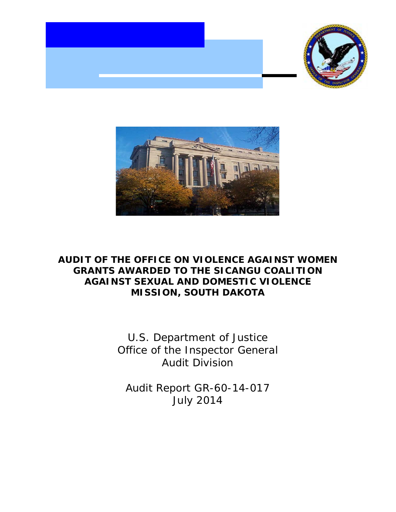



#### **OFFICE ON VIOLENCE AGAINST WOMEN** TO THE SICANGU COALITION **SEXUAL AND DOMESTIC VIOLENCE MISSION, SOUTH DAKOTA AUDIT OF THE OFFICE ON VIOLENCE AGAINST WOMEN<br>GRANTS AWARDED TO THE SICANGU COALITION<br>AGAINST SEXUAL AND DOMESTIC VIOLENCE<br>MISSION, SOUTH DAKOTA**

of the Inspector General U.S. Department of Justice **Audit Division** U.S. Department of Justice<br>Office of the Inspector General<br>Audit Division<br>Audit Report GR-60-14-017<br>July 2014

Report GR-60-14-017 **July 2014**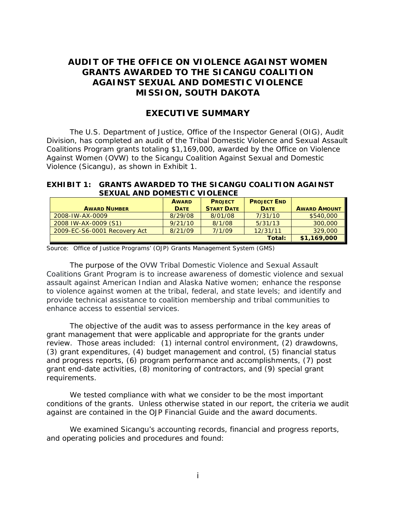## AUDIT OF THE OFFICE ON VIOLENCE AGAINST WOMEN **AGAINST SEXUAL AND DOMESTIC VIOLENCE MISSION, SOUTH DAKOTA AUDIT OF THE OFFICE ON VIOLENCE AGAINST WOMEN<br>GRANTS AWARDED TO THE SICANGU COALITION<br>AGAINST SEXUAL AND DOMESTIC VIOLENCE<br>MISSION, SOUTH DAKOTA<br>EXECUTIVE SUMMARY**

#### **EXECUTIVE SUMMARY**

 Coalitions Program grants totaling \$1,169,000, awarded by the Office on Violence Violence (Sicangu), as shown in Exhibit 1. The U.S. Department of Justice, Office of the Inspector General (OIG), Audit Division, has completed an audit of the Tribal Domestic Violence and Sexual Assault Against Women (OVW) to the Sicangu Coalition Against Sexual and Domestic

#### **EXHIBIT 1:GRANTS AWARDED TO THE SICANGU COALITION AGAINST SEXUAL AND DOMESTIC VIOLENCE**

|                              | <b>AWARD</b> | <b>PROJECT</b>    | <b>PROJECT END</b> |                     |
|------------------------------|--------------|-------------------|--------------------|---------------------|
| <b>AWARD NUMBER</b>          | <b>DATE</b>  | <b>START DATE</b> | <b>DATE</b>        | <b>AWARD AMOUNT</b> |
| 2008-IW-AX-0009              | 8/29/08      | 8/01/08           | 7/31/10            | \$540,000           |
| 2008 IW-AX-0009 (S1)         | 9/21/10      | 8/1/08            | 5/31/13            | 300,000             |
| 2009-EC-S6-0001 Recovery Act | 8/21/09      | 7/1/09            | 12/31/11           | 329,000             |
|                              |              |                   | Total:             | \$1,169,000         |

Source: Office of Justice Programs' (OJP) Grants Management System (GMS)

 Coalitions Grant Program is to increase awareness of domestic violence and sexual The purpose of the OVW Tribal Domestic Violence and Sexual Assault assault against American Indian and Alaska Native women; enhance the response to violence against women at the tribal, federal, and state levels; and identify and provide technical assistance to coalition membership and tribal communities to enhance access to essential services.

 The objective of the audit was to assess performance in the key areas of review. Those areas included: (1) internal control environment, (2) drawdowns, grant management that were applicable and appropriate for the grants under (3) grant expenditures, (4) budget management and control, (5) financial status and progress reports, (6) program performance and accomplishments, (7) post grant end-date activities, (8) monitoring of contractors, and (9) special grant requirements.

against are contained in the OJP Financial Guide and the award documents. We tested compliance with what we consider to be the most important conditions of the grants. Unless otherwise stated in our report, the criteria we audit

We examined Sicangu's accounting records, financial and progress reports, and operating policies and procedures and found: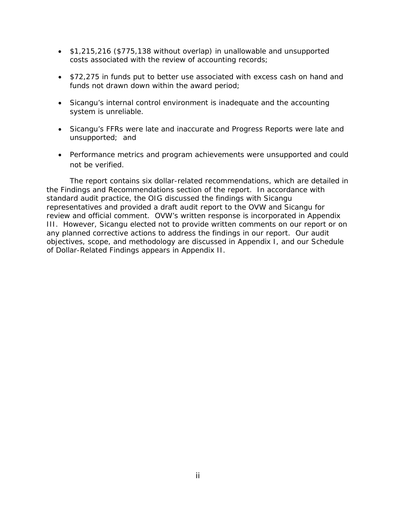- •\$1,215,216 (\$775,138 without overlap) in unallowable and unsupported costs associated with the review of accounting records;
- •\$72,275 in funds put to better use associated with excess cash on hand and funds not drawn down within the award period;
- •Sicangu's internal control environment is inadequate and the accounting system is unreliable.
- unsupported; and •Sicangu's FFRs were late and inaccurate and Progress Reports were late and
- •Performance metrics and program achievements were unsupported and could not be verified.

 The report contains six dollar-related recommendations, which are detailed in any planned corrective actions to address the findings in our report. Our audit of Dollar-Related Findings appears in Appendix II. the Findings and Recommendations section of the report. In accordance with standard audit practice, the OIG discussed the findings with Sicangu representatives and provided a draft audit report to the OVW and Sicangu for review and official comment. OVW's written response is incorporated in Appendix III. However, Sicangu elected not to provide written comments on our report or on objectives, scope, and methodology are discussed in Appendix I, and our Schedule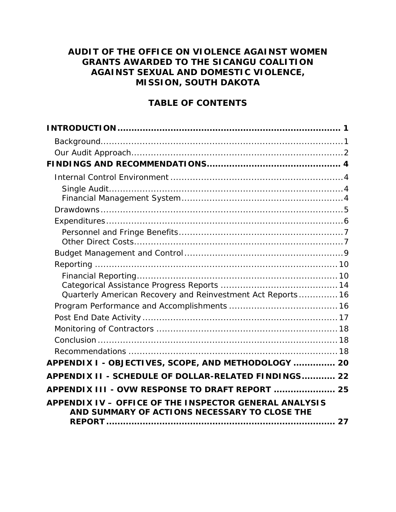# AUDIT OF THE OFFICE ON VIOLENCE AGAINST WOMEN **GRANTS AWARDED TO THE SICANGU COALITION AUDIT OF THE OFFICE ON VIOLENCE AGAINST WOMENGRANTS AWARDED TO THE SICANGU COALITIONAGAINST SEXUAL AND DOMESTIC VIOLENCE,MISSION, SOUTH DAKOTATABLE OF CONTENTS[INTRODUCTION................................................................................ 1](#page-4-0)**

### **TABLE OF CONTENTS**

| Quarterly American Recovery and Reinvestment Act Reports 16                                             |  |
|---------------------------------------------------------------------------------------------------------|--|
|                                                                                                         |  |
|                                                                                                         |  |
|                                                                                                         |  |
|                                                                                                         |  |
|                                                                                                         |  |
| APPENDIX I - OBJECTIVES, SCOPE, AND METHODOLOGY  20                                                     |  |
| APPENDIX II - SCHEDULE OF DOLLAR-RELATED FINDINGS 22                                                    |  |
| APPENDIX III - OVW RESPONSE TO DRAFT REPORT  25                                                         |  |
| APPENDIX IV - OFFICE OF THE INSPECTOR GENERAL ANALYSIS<br>AND SUMMARY OF ACTIONS NECESSARY TO CLOSE THE |  |
|                                                                                                         |  |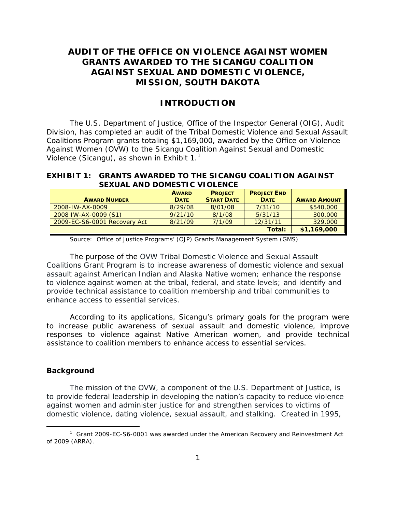## AUDIT OF THE OFFICE ON VIOLENCE AGAINST WOMEN **MISSION, SOUTH DAKOTA AUDIT OF THE OFFICE ON VIOLENCE AGAINST WOMEN<br>GRANTS AWARDED TO THE SICANGU COALITION<br>AGAINST SEXUAL AND DOMESTIC VIOLENCE,<br>MISSION, SOUTH DAKOTA<br>INTRODUCTION**

#### **INTRODUCTION**

<span id="page-4-0"></span> Coalitions Program grants totaling \$1,169,000, awarded by the Office on Violence The U.S. Department of Justice, Office of the Inspector General (OIG), Audit Division, has completed an audit of the Tribal Domestic Violence and Sexual Assault Against Women (OVW) to the Sicangu Coalition Against Sexual and Domestic Violence (Sicangu), as shown in Exhibit  $1<sup>1</sup>$  $1<sup>1</sup>$ 

#### **EXHIBIT 1:GRANTS AWARDED TO THE SICANGU COALITION AGAINST SEXUAL AND DOMESTIC VIOLENCE**

|                              | <b>AWARD</b> | <b>PROJECT</b>    | <b>PROJECT END</b> |                     |
|------------------------------|--------------|-------------------|--------------------|---------------------|
| <b>AWARD NUMBER</b>          | <b>DATE</b>  | <b>START DATE</b> | <b>DATE</b>        | <b>AWARD AMOUNT</b> |
| 2008-IW-AX-0009              | 8/29/08      | 8/01/08           | 7/31/10            | \$540,000           |
| 2008 IW-AX-0009 (S1)         | 9/21/10      | 8/1/08            | 5/31/13            | 300,000             |
| 2009-EC-S6-0001 Recovery Act | 8/21/09      | 7/1/09            | 12/31/11           | 329,000             |
|                              |              |                   | Total:             | \$1,169,000         |

Source: Office of Justice Programs' (OJP) Grants Management System (GMS)

 Coalitions Grant Program is to increase awareness of domestic violence and sexual The purpose of the OVW Tribal Domestic Violence and Sexual Assault assault against American Indian and Alaska Native women; enhance the response to violence against women at the tribal, federal, and state levels; and identify and provide technical assistance to coalition membership and tribal communities to enhance access to essential services.

 According to its applications, Sicangu's primary goals for the program were to increase public awareness of sexual assault and domestic violence, improve responses to violence against Native American women, and provide technical assistance to coalition members to enhance access to essential services.

#### <span id="page-4-1"></span>**Background**

 $\overline{a}$ 

 The mission of the OVW, a component of the U.S. Department of Justice, is to provide federal leadership in developing the nation's capacity to reduce violence against women and administer justice for and strengthen services to victims of domestic violence, dating violence, sexual assault, and stalking. Created in 1995,

<span id="page-4-2"></span> $1$  Grant 2009-EC-S6-0001 was awarded under the American Recovery and Reinvestment Act of 2009 (ARRA).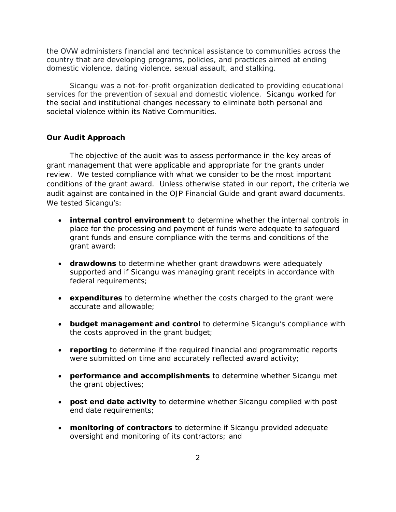the OVW administers financial and technical assistance to communities across the country that are developing programs, policies, and practices aimed at ending domestic violence, dating violence, sexual assault, and stalking.

 services for the prevention of sexual and domestic violence. Sicangu worked for societal violence within its Native Communities. Sicangu was a not-for-profit organization dedicated to providing educational the social and institutional changes necessary to eliminate both personal and

#### <span id="page-5-0"></span>**Our Audit Approach**

 The objective of the audit was to assess performance in the key areas of review. We tested compliance with what we consider to be the most important audit against are contained in the *OJP Financial Guide* and grant award documents. grant management that were applicable and appropriate for the grants under conditions of the grant award. Unless otherwise stated in our report, the criteria we We tested Sicangu's:

- grant award; •**internal control environment** to determine whether the internal controls in place for the processing and payment of funds were adequate to safeguard grant funds and ensure compliance with the terms and conditions of the
- •**drawdowns** to determine whether grant drawdowns were adequately supported and if Sicangu was managing grant receipts in accordance with federal requirements;
- •**expenditures** to determine whether the costs charged to the grant were accurate and allowable;
- the costs approved in the grant budget; •**budget management and control** to determine Sicangu's compliance with
- •**reporting** to determine if the required financial and programmatic reports were submitted on time and accurately reflected award activity;
- •**performance and accomplishments** to determine whether Sicangu met the grant objectives;
- •**post end date activity** to determine whether Sicangu complied with post end date requirements;
- •**monitoring of contractors** to determine if Sicangu provided adequate oversight and monitoring of its contractors; and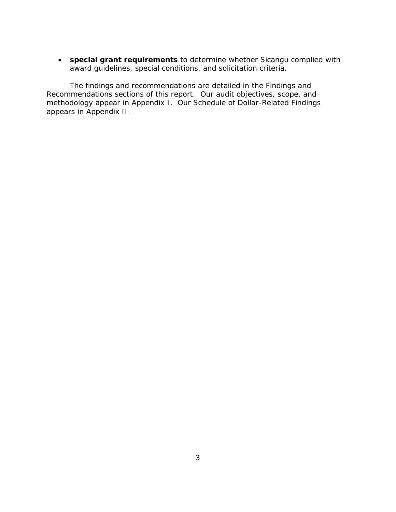• **special grant requirements** to determine whether Sicangu complied with award guidelines, special conditions, and solicitation criteria.

 Recommendations sections of this report. Our audit objectives, scope, and methodology appear in Appendix I. Our Schedule of Dollar-Related Findings The findings and recommendations are detailed in the Findings and appears in Appendix II.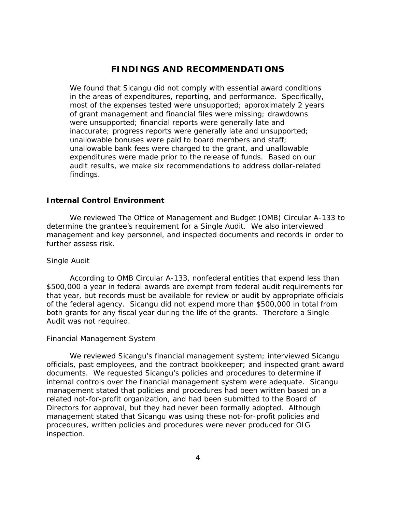#### **FINDINGS AND RECOMMENDATIONS**

<span id="page-7-0"></span> most of the expenses tested were unsupported; approximately 2 years audit results, we make six recommendations to address dollar-related We found that Sicangu did not comply with essential award conditions in the areas of expenditures, reporting, and performance. Specifically, of grant management and financial files were missing; drawdowns were unsupported; financial reports were generally late and inaccurate; progress reports were generally late and unsupported; unallowable bonuses were paid to board members and staff; unallowable bank fees were charged to the grant, and unallowable expenditures were made prior to the release of funds. Based on our findings.

#### <span id="page-7-1"></span>**Internal Control Environment**

We reviewed The *Office of Management and Budget (OMB) Circular A-133* to determine the grantee's requirement for a Single Audit*.* We also interviewed management and key personnel, and inspected documents and records in order to further assess risk.

#### <span id="page-7-2"></span> *Single Audit*

According to *OMB Circular A-133*, nonfederal entities that expend less than \$500,000 a year in federal awards are exempt from federal audit requirements for that year, but records must be available for review or audit by appropriate officials of the federal agency. Sicangu did not expend more than \$500,000 in total from both grants for any fiscal year during the life of the grants. Therefore a Single Audit was not required.

#### <span id="page-7-3"></span>*Financial Management System*

 documents. We requested Sicangu's policies and procedures to determine if We reviewed Sicangu's financial management system; interviewed Sicangu officials, past employees, and the contract bookkeeper; and inspected grant award internal controls over the financial management system were adequate. Sicangu management stated that policies and procedures had been written based on a related not-for-profit organization, and had been submitted to the Board of Directors for approval, but they had never been formally adopted. Although management stated that Sicangu was using these not-for-profit policies and procedures, written policies and procedures were never produced for OIG inspection.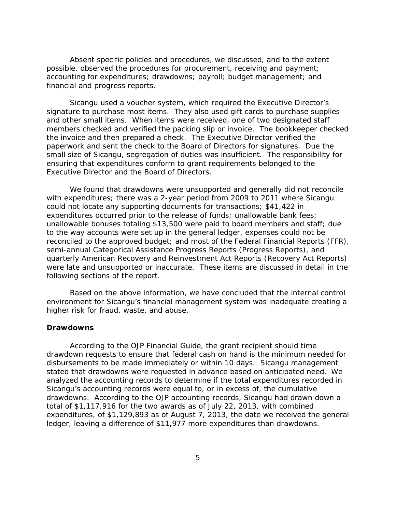Absent specific policies and procedures, we discussed, and to the extent possible, observed the procedures for procurement, receiving and payment; accounting for expenditures; drawdowns; payroll; budget management; and financial and progress reports.

 small size of Sicangu, segregation of duties was insufficient. The responsibility for Sicangu used a voucher system, which required the Executive Director's signature to purchase most items. They also used gift cards to purchase supplies and other small items. When items were received, one of two designated staff members checked and verified the packing slip or invoice. The bookkeeper checked the invoice and then prepared a check. The Executive Director verified the paperwork and sent the check to the Board of Directors for signatures. Due the ensuring that expenditures conform to grant requirements belonged to the Executive Director and the Board of Directors.

 were late and unsupported or inaccurate. These items are discussed in detail in the We found that drawdowns were unsupported and generally did not reconcile with expenditures; there was a 2-year period from 2009 to 2011 where Sicangu could not locate any supporting documents for transactions; \$41,422 in expenditures occurred prior to the release of funds; unallowable bank fees; unallowable bonuses totaling \$13,500 were paid to board members and staff; due to the way accounts were set up in the general ledger, expenses could not be reconciled to the approved budget; and most of the Federal Financial Reports (FFR), semi-annual Categorical Assistance Progress Reports (Progress Reports), and quarterly American Recovery and Reinvestment Act Reports (Recovery Act Reports) following sections of the report.

 environment for Sicangu's financial management system was inadequate creating a Based on the above information, we have concluded that the internal control higher risk for fraud, waste, and abuse.

#### <span id="page-8-0"></span>**Drawdowns**

 disbursements to be made immediately or within 10 days. Sicangu management analyzed the accounting records to determine if the total expenditures recorded in drawdowns. According to the OJP accounting records, Sicangu had drawn down a total of \$1,117,916 for the two awards as of July 22, 2013, with combined According to the *OJP Financial Guide*, the grant recipient should time drawdown requests to ensure that federal cash on hand is the minimum needed for stated that drawdowns were requested in advance based on anticipated need. We Sicangu's accounting records were equal to, or in excess of, the cumulative expenditures, of \$1,129,893 as of August 7, 2013, the date we received the general ledger, leaving a difference of \$11,977 more expenditures than drawdowns.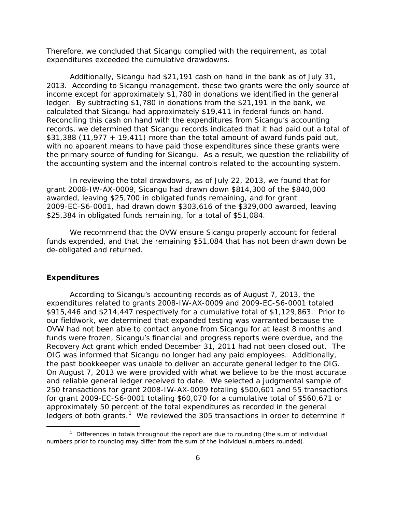Therefore, we concluded that Sicangu complied with the requirement, as total expenditures exceeded the cumulative drawdowns.

 2013. According to Sicangu management, these two grants were the only source of ledger. By subtracting \$1,780 in donations from the \$21,191 in the bank, we Reconciling this cash on hand with the expenditures from Sicangu's accounting the primary source of funding for Sicangu. As a result, we question the reliability of Additionally, Sicangu had \$21,191 cash on hand in the bank as of July 31, income except for approximately \$1,780 in donations we identified in the general calculated that Sicangu had approximately \$19,411 in federal funds on hand. records, we determined that Sicangu records indicated that it had paid out a total of \$31,388 (11,977 + 19,411) more than the total amount of award funds paid out, with no apparent means to have paid those expenditures since these grants were the accounting system and the internal controls related to the accounting system.

\$25,384 in obligated funds remaining, for a total of \$51,084. In reviewing the total drawdowns, as of July 22, 2013, we found that for grant 2008-IW-AX-0009, Sicangu had drawn down \$814,300 of the \$840,000 awarded, leaving \$25,700 in obligated funds remaining, and for grant 2009-EC-S6-0001, had drawn down \$303,616 of the \$329,000 awarded, leaving

We recommend that the OVW ensure Sicangu properly account for federal funds expended, and that the remaining \$51,084 that has not been drawn down be de-obligated and returned.

#### <span id="page-9-0"></span>**Expenditures**

 $\overline{a}$ 

 \$915,446 and \$214,447 respectively for a cumulative total of \$1,129,863. Prior to OIG was informed that Sicangu no longer had any paid employees. Additionally, and reliable general ledger received to date. We selected a judgmental sample of approximately 50 percent of the total expenditures as recorded in the general ledgers of both grants.<sup>[1](#page-9-1)</sup> We reviewed the 305 transactions in order to determine if According to Sicangu's accounting records as of August 7, 2013, the expenditures related to grants 2008-IW-AX-0009 and 2009-EC-S6-0001 totaled our fieldwork, we determined that expanded testing was warranted because the OVW had not been able to contact anyone from Sicangu for at least 8 months and funds were frozen, Sicangu's financial and progress reports were overdue, and the Recovery Act grant which ended December 31, 2011 had not been closed out. The the past bookkeeper was unable to deliver an accurate general ledger to the OIG. On August 7, 2013 we were provided with what we believe to be the most accurate 250 transactions for grant 2008-IW-AX-0009 totaling \$500,601 and 55 transactions for grant 2009-EC-S6-0001 totaling \$60,070 for a cumulative total of \$560,671 or

<span id="page-9-1"></span><sup>&</sup>lt;sup>1</sup> Differences in totals throughout the report are due to rounding (the sum of individual numbers prior to rounding may differ from the sum of the individual numbers rounded).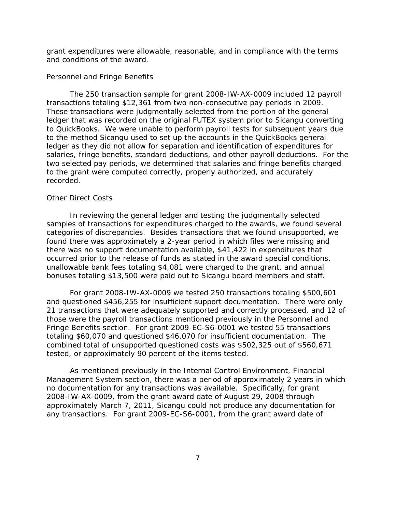grant expenditures were allowable, reasonable, and in compliance with the terms and conditions of the award.

#### <span id="page-10-0"></span>*Personnel and Fringe Benefits*

 transactions totaling \$12,361 from two non-consecutive pay periods in 2009. salaries, fringe benefits, standard deductions, and other payroll deductions. For the The 250 transaction sample for grant 2008-IW-AX-0009 included 12 payroll These transactions were judgmentally selected from the portion of the general ledger that was recorded on the original FUTEX system prior to Sicangu converting to QuickBooks. We were unable to perform payroll tests for subsequent years due to the method Sicangu used to set up the accounts in the QuickBooks general ledger as they did not allow for separation and identification of expenditures for two selected pay periods, we determined that salaries and fringe benefits charged to the grant were computed correctly, properly authorized, and accurately recorded.

#### <span id="page-10-1"></span>*Other Direct Costs*

 there was no support documentation available, \$41,422 in expenditures that bonuses totaling \$13,500 were paid out to Sicangu board members and staff. In reviewing the general ledger and testing the judgmentally selected samples of transactions for expenditures charged to the awards, we found several categories of discrepancies. Besides transactions that we found unsupported, we found there was approximately a 2-year period in which files were missing and occurred prior to the release of funds as stated in the award special conditions, unallowable bank fees totaling \$4,081 were charged to the grant, and annual

 those were the payroll transactions mentioned previously in the Personnel and Fringe Benefits section. For grant 2009-EC-S6-0001 we tested 55 transactions totaling \$60,070 and questioned \$46,070 for insufficient documentation. The tested, or approximately 90 percent of the items tested. For grant 2008-IW-AX-0009 we tested 250 transactions totaling \$500,601 and questioned \$456,255 for insufficient support documentation. There were only 21 transactions that were adequately supported and correctly processed, and 12 of combined total of unsupported questioned costs was \$502,325 out of \$560,671

 Management System section, there was a period of approximately 2 years in which no documentation for any transactions was available. Specifically, for grant As mentioned previously in the Internal Control Environment, Financial 2008-IW-AX-0009, from the grant award date of August 29, 2008 through approximately March 7, 2011, Sicangu could not produce any documentation for any transactions. For grant 2009-EC-S6-0001, from the grant award date of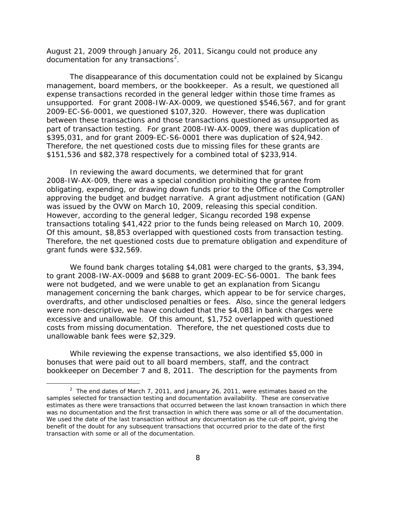August 21, 2009 through January 26, 2011, Sicangu could not produce any documentation for any transactions<sup>[2](#page-11-0)</sup>.

 management, board members, or the bookkeeper. As a result, we questioned all \$395,031, and for grant 2009-EC-S6-0001 there was duplication of \$24,942. Therefore, the net questioned costs due to missing files for these grants are The disappearance of this documentation could not be explained by Sicangu expense transactions recorded in the general ledger within those time frames as unsupported. For grant 2008-IW-AX-0009, we questioned \$546,567, and for grant 2009-EC-S6-0001, we questioned \$107,320. However, there was duplication between these transactions and those transactions questioned as unsupported as part of transaction testing. For grant 2008-IW-AX-0009, there was duplication of \$151,536 and \$82,378 respectively for a combined total of \$233,914.

was issued by the OVW on March 10, 2009, releasing this special condition. was issued by the OVW on March 10, 2009, releasing this special condition.<br>However, according to the general ledger, Sicangu recorded 198 expense transactions totaling \$41,422 prior to the funds being released on March 10, 2009. Of this amount, \$8,853 overlapped with questioned costs from transaction testing. In reviewing the award documents, we determined that for grant 2008-IW-AX-009, there was a special condition prohibiting the grantee from obligating, expending, or drawing down funds prior to the Office of the Comptroller approving the budget and budget narrative. A grant adjustment notification (GAN) Therefore, the net questioned costs due to premature obligation and expenditure of grant funds were \$32,569.

 to grant 2008-IW-AX-0009 and \$688 to grant 2009-EC-S6-0001. The bank fees overdrafts, and other undisclosed penalties or fees. Also, since the general ledgers were non-descriptive, we have concluded that the \$4,081 in bank charges were excessive and unallowable. Of this amount, \$1,752 overlapped with questioned We found bank charges totaling \$4,081 were charged to the grants, \$3,394, were not budgeted, and we were unable to get an explanation from Sicangu management concerning the bank charges, which appear to be for service charges, costs from missing documentation. Therefore, the net questioned costs due to unallowable bank fees were \$2,329.

While reviewing the expense transactions, we also identified \$5,000 in bonuses that were paid out to all board members, staff, and the contract bookkeeper on December 7 and 8, 2011. The description for the payments from

l

<span id="page-11-0"></span>was no documentation and the first transaction in which there was some or all of the documentation.  $2$  The end dates of March 7, 2011, and January 26, 2011, were estimates based on the samples selected for transaction testing and documentation availability. These are conservative estimates as there were transactions that occurred between the last known transaction in which there We used the date of the last transaction without any documentation as the cut-off point, giving the benefit of the doubt for any subsequent transactions that occurred prior to the date of the first transaction with some or all of the documentation.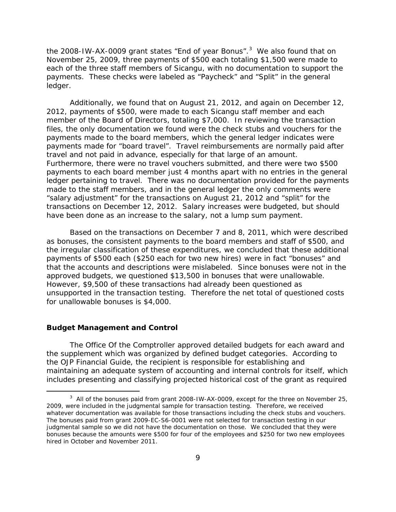the 2008-IW-AX-0009 grant states "End of year Bonus".<sup>3</sup> We also found that on ledger. November 25, 2009, three payments of \$500 each totaling \$1,500 were made to each of the three staff members of Sicangu, with no documentation to support the payments. These checks were labeled as "Paycheck" and "Split" in the general

 payments made to the board members, which the general ledger indicates were payments made for "board travel". Travel reimbursements are normally paid after travel and not paid in advance, especially for that large of an amount. ledger pertaining to travel. There was no documentation provided for the payments transactions on December 12, 2012. Salary increases were budgeted, but should Additionally, we found that on August 21, 2012, and again on December 12, 2012, payments of \$500, were made to each Sicangu staff member and each member of the Board of Directors, totaling \$7,000. In reviewing the transaction files, the only documentation we found were the check stubs and vouchers for the Furthermore, there were no travel vouchers submitted, and there were two \$500 payments to each board member just 4 months apart with no entries in the general made to the staff members, and in the general ledger the only comments were "salary adjustment" for the transactions on August 21, 2012 and "split" for the have been done as an increase to the salary, not a lump sum payment.

 Based on the transactions on December 7 and 8, 2011, which were described that the accounts and descriptions were mislabeled. Since bonuses were not in the as bonuses, the consistent payments to the board members and staff of \$500, and the irregular classification of these expenditures, we concluded that these additional payments of \$500 each (\$250 each for two new hires) were in fact "bonuses" and approved budgets, we questioned \$13,500 in bonuses that were unallowable. However, \$9,500 of these transactions had already been questioned as unsupported in the transaction testing. Therefore the net total of questioned costs for unallowable bonuses is \$4,000.

#### <span id="page-12-0"></span>**Budget Management and Control**

 $\overline{a}$ 

 The Office Of the Comptroller approved detailed budgets for each award and the supplement which was organized by defined budget categories. According to the *OJP Financial Guide*, the recipient is responsible for establishing and maintaining an adequate system of accounting and internal controls for itself, which includes presenting and classifying projected historical cost of the grant as required

<span id="page-12-1"></span>whatever documentation was available for those transactions including the check stubs and vouchers. hired in October and November 2011.  $3$  All of the bonuses paid from grant 2008-IW-AX-0009, except for the three on November 25, 2009, were included in the judgmental sample for transaction testing. Therefore, we received The bonuses paid from grant 2009-EC-S6-0001 were not selected for transaction testing in our judgmental sample so we did not have the documentation on those. We concluded that they were bonuses because the amounts were \$500 for four of the employees and \$250 for two new employees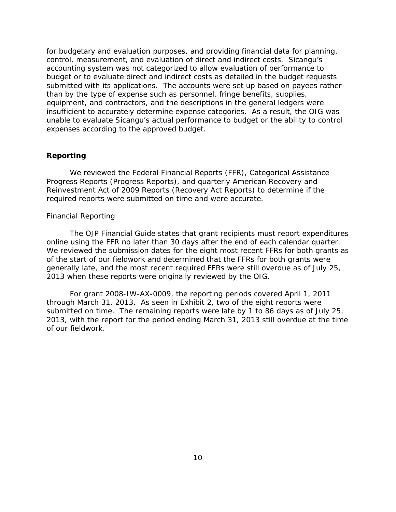than by the type of expense such as personnel, fringe benefits, supplies, insufficient to accurately determine expense categories. As a result, the OIG was for budgetary and evaluation purposes, and providing financial data for planning, control, measurement, and evaluation of direct and indirect costs. Sicangu's accounting system was not categorized to allow evaluation of performance to budget or to evaluate direct and indirect costs as detailed in the budget requests submitted with its applications. The accounts were set up based on payees rather equipment, and contractors, and the descriptions in the general ledgers were unable to evaluate Sicangu's actual performance to budget or the ability to control expenses according to the approved budget.

#### <span id="page-13-0"></span>**Reporting**

 Reinvestment Act of 2009 Reports (Recovery Act Reports) to determine if the We reviewed the Federal Financial Reports (FFR), Categorical Assistance Progress Reports (Progress Reports), and quarterly American Recovery and required reports were submitted on time and were accurate.

#### <span id="page-13-1"></span>*Financial Reporting*

 online using the FFR no later than 30 days after the end of each calendar quarter. 2013 when these reports were originally reviewed by the OIG. The *OJP Financial Guide* states that grant recipients must report expenditures We reviewed the submission dates for the eight most recent FFRs for both grants as of the start of our fieldwork and determined that the FFRs for both grants were generally late, and the most recent required FFRs were still overdue as of July 25,

 submitted on time. The remaining reports were late by 1 to 86 days as of July 25, 2013, with the report for the period ending March 31, 2013 still overdue at the time For grant 2008-IW-AX-0009, the reporting periods covered April 1, 2011 through March 31, 2013. As seen in Exhibit 2, two of the eight reports were of our fieldwork.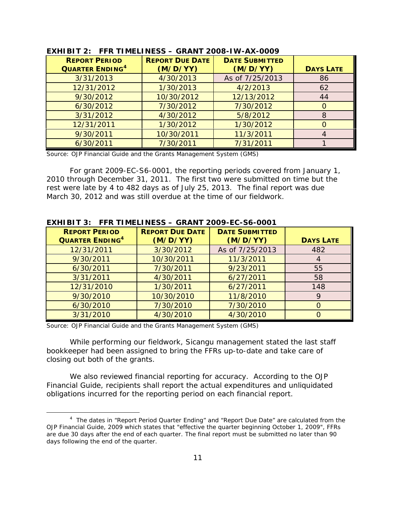| EXHIBIT 2: FFR TIMELINESS - GRANT 2008-IW-AX-0009 |                        |                       |                  |
|---------------------------------------------------|------------------------|-----------------------|------------------|
| <b>REPORT PERIOD</b>                              | <b>REPORT DUE DATE</b> | <b>DATE SUBMITTED</b> |                  |
| <b>QUARTER ENDING<sup>4</sup></b>                 | (M/D/YY)               | (M/D/YY)              | <b>DAYS LATE</b> |
| 3/31/2013                                         | 4/30/2013              | As of 7/25/2013       | 86               |
| 12/31/2012                                        | 1/30/2013              | 4/2/2013              | 62               |
| 9/30/2012                                         | 10/30/2012             | 12/13/2012            | 44               |
| 6/30/2012                                         | 7/30/2012              | 7/30/2012             | O                |
| 3/31/2012                                         | 4/30/2012              | 5/8/2012              | 8                |
| 12/31/2011                                        | 1/30/2012              | 1/30/2012             |                  |
| 9/30/2011                                         | 10/30/2011             | 11/3/2011             |                  |
| 6/30/2011                                         | 7/30/2011              | 7/31/2011             |                  |

 rest were late by 4 to 482 days as of July 25, 2013. The final report was due For grant 2009-EC-S6-0001, the reporting periods covered from January 1, 2010 through December 31, 2011. The first two were submitted on time but the March 30, 2012 and was still overdue at the time of our fieldwork.

| <b>REPORT PERIOD</b><br><b>QUARTER ENDING<sup>4</sup></b> | <b>REPORT DUE DATE</b><br>(M/D/YY) | <b>DATE SUBMITTED</b><br>(M/D/YY) | <b>DAYS LATE</b> |
|-----------------------------------------------------------|------------------------------------|-----------------------------------|------------------|
| 12/31/2011                                                | 3/30/2012                          | As of 7/25/2013                   | 482              |
| 9/30/2011                                                 | 10/30/2011                         | 11/3/2011                         |                  |
| 6/30/2011                                                 | 7/30/2011                          | 9/23/2011                         | 55               |
| 3/31/2011                                                 | 4/30/2011                          | 6/27/2011                         | 58               |
| 12/31/2010                                                | 1/30/2011                          | 6/27/2011                         | 148              |
| 9/30/2010                                                 | 10/30/2010                         | 11/8/2010                         | 9                |
| 6/30/2010                                                 | 7/30/2010                          | 7/30/2010                         |                  |
| 3/31/2010                                                 | 4/30/2010                          | 4/30/2010                         |                  |

#### **EXHIBIT 3: FFR TIMELINESS – GRANT 2009-EC-S6-0001**

Source: OJP Financial Guide and the Grants Management System (GMS)

l

 While performing our fieldwork, Sicangu management stated the last staff bookkeeper had been assigned to bring the FFRs up-to-date and take care of closing out both of the grants.

 We also reviewed financial reporting for accuracy. According to the *OJP Financial Guide*, recipients shall report the actual expenditures and unliquidated obligations incurred for the reporting period on each financial report.

<span id="page-14-0"></span><sup>4</sup> The dates in "Report Period Quarter Ending" and "Report Due Date" are calculated from the *OJP Financial Guide*, 2009 which states that "effective the quarter beginning October 1, 2009", FFRs are due 30 days after the end of each quarter. The final report must be submitted no later than 90 days following the end of the quarter.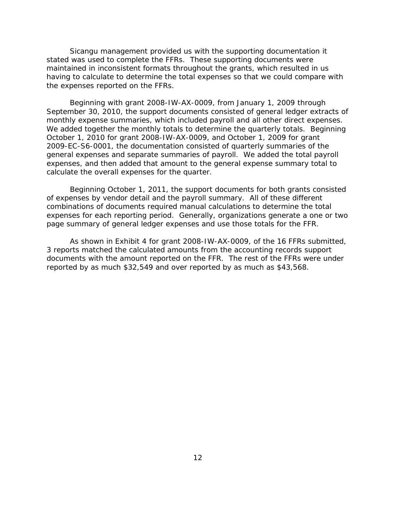the expenses reported on the FFRs. Sicangu management provided us with the supporting documentation it stated was used to complete the FFRs. These supporting documents were maintained in inconsistent formats throughout the grants, which resulted in us having to calculate to determine the total expenses so that we could compare with

 We added together the monthly totals to determine the quarterly totals. Beginning October 1, 2010 for grant 2008-IW-AX-0009, and October 1, 2009 for grant expenses, and then added that amount to the general expense summary total to Beginning with grant 2008-IW-AX-0009, from January 1, 2009 through September 30, 2010, the support documents consisted of general ledger extracts of monthly expense summaries, which included payroll and all other direct expenses. 2009-EC-S6-0001, the documentation consisted of quarterly summaries of the general expenses and separate summaries of payroll. We added the total payroll calculate the overall expenses for the quarter.

 expenses for each reporting period. Generally, organizations generate a one or two Beginning October 1, 2011, the support documents for both grants consisted of expenses by vendor detail and the payroll summary. All of these different combinations of documents required manual calculations to determine the total page summary of general ledger expenses and use those totals for the FFR.

 documents with the amount reported on the FFR. The rest of the FFRs were under As shown in Exhibit 4 for grant 2008-IW-AX-0009, of the 16 FFRs submitted, 3 reports matched the calculated amounts from the accounting records support reported by as much \$32,549 and over reported by as much as \$43,568.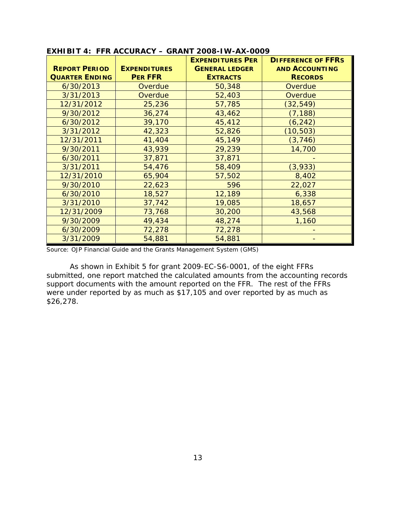|                       |                     | <b>EXPENDITURES PER</b> | <b>DIFFERENCE OF FFRS</b> |
|-----------------------|---------------------|-------------------------|---------------------------|
| <b>REPORT PERIOD</b>  | <b>EXPENDITURES</b> | <b>GENERAL LEDGER</b>   | <b>AND ACCOUNTING</b>     |
| <b>QUARTER ENDING</b> | <b>PER FFR</b>      | <b>EXTRACTS</b>         | <b>RECORDS</b>            |
| 6/30/2013             | Overdue             | 50,348                  | Overdue                   |
| 3/31/2013             | Overdue             | 52,403                  | Overdue                   |
| 12/31/2012            | 25,236              | 57,785                  | (32, 549)                 |
| 9/30/2012             | 36,274              | 43,462                  | (7, 188)                  |
| 6/30/2012             | 39,170              | 45,412                  | (6, 242)                  |
| 3/31/2012             | 42,323              | 52,826                  | (10, 503)                 |
| 12/31/2011            | 41,404              | 45,149                  | (3, 746)                  |
| 9/30/2011             | 43,939              | 29,239                  | 14,700                    |
| 6/30/2011             | 37,871              | 37,871                  |                           |
| 3/31/2011             | 54,476              | 58,409                  | (3,933)                   |
| 12/31/2010            | 65,904              | 57,502                  | 8,402                     |
| 9/30/2010             | 22,623              | 596                     | 22,027                    |
| 6/30/2010             | 18,527              | 12,189                  | 6,338                     |
| 3/31/2010             | 37,742              | 19,085                  | 18,657                    |
| 12/31/2009            | 73,768              | 30,200                  | 43,568                    |
| 9/30/2009             | 49,434              | 48,274                  | 1,160                     |
| 6/30/2009             | 72,278              | 72,278                  |                           |
| 3/31/2009             | 54,881              | 54,881                  |                           |

 submitted, one report matched the calculated amounts from the accounting records were under reported by as much as \$17,105 and over reported by as much as As shown in Exhibit 5 for grant 2009-EC-S6-0001, of the eight FFRs support documents with the amount reported on the FFR. The rest of the FFRs \$26,278.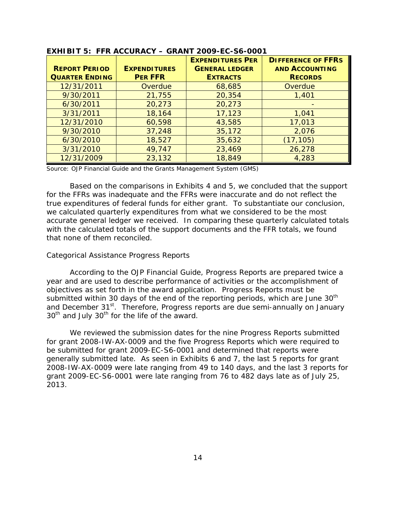|                       |                     | <b>EXPENDITURES PER</b> | <b>DIFFERENCE OF FFRS</b> |
|-----------------------|---------------------|-------------------------|---------------------------|
| <b>REPORT PERIOD</b>  | <b>EXPENDITURES</b> | <b>GENERAL LEDGER</b>   | <b>AND ACCOUNTING</b>     |
| <b>QUARTER ENDING</b> | <b>PER FFR</b>      | <b>EXTRACTS</b>         | <b>RECORDS</b>            |
| 12/31/2011            | Overdue             | 68,685                  | Overdue                   |
| 9/30/2011             | 21,755              | 20,354                  | 1,401                     |
| 6/30/2011             | 20,273              | 20,273                  |                           |
| 3/31/2011             | 18,164              | 17,123                  | 1,041                     |
| 12/31/2010            | 60,598              | 43,585                  | 17,013                    |
| 9/30/2010             | 37,248              | 35,172                  | 2,076                     |
| 6/30/2010             | 18,527              | 35,632                  | (17, 105)                 |
| 3/31/2010             | 49,747              | 23,469                  | 26,278                    |
| 12/31/2009            | 23,132              | 18,849                  | 4,283                     |

 with the calculated totals of the support documents and the FFR totals, we found Based on the comparisons in Exhibits 4 and 5, we concluded that the support for the FFRs was inadequate and the FFRs were inaccurate and do not reflect the true expenditures of federal funds for either grant. To substantiate our conclusion, we calculated quarterly expenditures from what we considered to be the most accurate general ledger we received. In comparing these quarterly calculated totals that none of them reconciled.

#### <span id="page-17-0"></span>*Categorical Assistance Progress Reports*

and December 31<sup>st</sup>. Therefore, Progress reports are due semi-annually on January According to the *OJP Financial Guide*, Progress Reports are prepared twice a year and are used to describe performance of activities or the accomplishment of objectives as set forth in the award application. Progress Reports must be submitted within 30 days of the end of the reporting periods, which are June  $30<sup>th</sup>$  $30<sup>th</sup>$  and July  $30<sup>th</sup>$  for the life of the award.

 for grant 2008-IW-AX-0009 and the five Progress Reports which were required to generally submitted late. As seen in Exhibits 6 and 7, the last 5 reports for grant 2008-IW-AX-0009 were late ranging from 49 to 140 days, and the last 3 reports for grant 2009-EC-S6-0001 were late ranging from 76 to 482 days late as of July 25, We reviewed the submission dates for the nine Progress Reports submitted be submitted for grant 2009-EC-S6-0001 and determined that reports were 2013.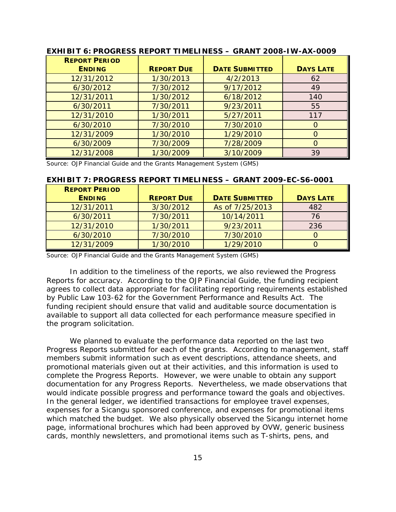| EXHIBIT 6: PROGRESS REPORT TIMELINESS - GRANT 2008-IW-AX-0009 |                   |                       |                  |  |
|---------------------------------------------------------------|-------------------|-----------------------|------------------|--|
| <b>REPORT PERIOD</b>                                          |                   |                       |                  |  |
| <b>ENDING</b>                                                 | <b>REPORT DUE</b> | <b>DATE SUBMITTED</b> | <b>DAYS LATE</b> |  |
| 12/31/2012                                                    | 1/30/2013         | 4/2/2013              | 62               |  |
| 6/30/2012                                                     | 7/30/2012         | 9/17/2012             | 49               |  |
| 12/31/2011                                                    | 1/30/2012         | 6/18/2012             | 140              |  |
| 6/30/2011                                                     | 7/30/2011         | 9/23/2011             | 55               |  |
| 12/31/2010                                                    | 1/30/2011         | 5/27/2011             | 117              |  |
| 6/30/2010                                                     | 7/30/2010         | 7/30/2010             | $\Omega$         |  |
| 12/31/2009                                                    | 1/30/2010         | 1/29/2010             | $\Omega$         |  |
| 6/30/2009                                                     | 7/30/2009         | 7/28/2009             | $\circ$          |  |
| 12/31/2008                                                    | 1/30/2009         | 3/10/2009             | 39               |  |

| <b>REPORT PERIOD</b> |                   |                       |                  |
|----------------------|-------------------|-----------------------|------------------|
| <b>ENDING</b>        | <b>REPORT DUE</b> | <b>DATE SUBMITTED</b> | <b>DAYS LATE</b> |
| 12/31/2011           | 3/30/2012         | As of 7/25/2013       | 482              |
| 6/30/2011            | 7/30/2011         | 10/14/2011            | 76               |
| 12/31/2010           | 1/30/2011         | 9/23/2011             | 236              |
| 6/30/2010            | 7/30/2010         | 7/30/2010             |                  |
| 12/31/2009           | 1/30/2010         | 1/29/2010             |                  |

#### **EXHIBIT 7: PROGRESS REPORT TIMELINESS – GRANT 2009-EC-S6-0001**

Source: OJP Financial Guide and the Grants Management System (GMS)

 by Public Law 103-62 for the *Government Performance and Results Act*. The In addition to the timeliness of the reports, we also reviewed the Progress Reports for accuracy. According to the *OJP Financial Guide*, the funding recipient agrees to collect data appropriate for facilitating reporting requirements established funding recipient should ensure that valid and auditable source documentation is available to support all data collected for each performance measure specified in the program solicitation.

 complete the Progress Reports. However, we were unable to obtain any support documentation for any Progress Reports. Nevertheless, we made observations that would indicate possible progress and performance toward the goals and objectives. would indicate possible progress and performance toward the goals and objectives.<br>In the general ledger, we identified transactions for employee travel expenses, We planned to evaluate the performance data reported on the last two Progress Reports submitted for each of the grants. According to management, staff members submit information such as event descriptions, attendance sheets, and promotional materials given out at their activities, and this information is used to expenses for a Sicangu sponsored conference, and expenses for promotional items which matched the budget. We also physically observed the Sicangu internet home page, informational brochures which had been approved by OVW, generic business cards, monthly newsletters, and promotional items such as T-shirts, pens, and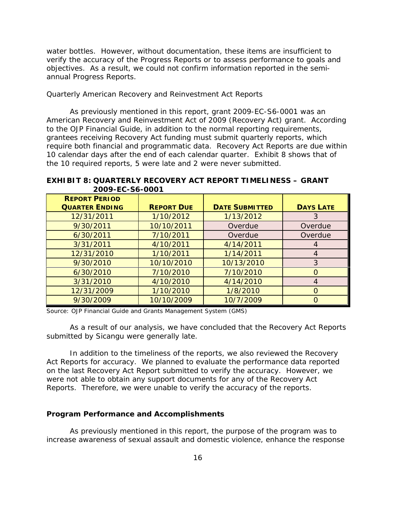objectives. As a result, we could not confirm information reported in the semi- annual Progress Reports. water bottles. However, without documentation, these items are insufficient to verify the accuracy of the Progress Reports or to assess performance to goals and

#### <span id="page-19-0"></span> *Quarterly American Recovery and Reinvestment Act Reports*

 require both financial and programmatic data. Recovery Act Reports are due within 10 calendar days after the end of each calendar quarter. Exhibit 8 shows that of As previously mentioned in this report, grant 2009-EC-S6-0001 was an American Recovery and Reinvestment Act of 2009 (Recovery Act) grant. According to the *OJP Financial Guide*, in addition to the normal reporting requirements, grantees receiving Recovery Act funding must submit quarterly reports, which the 10 required reports, 5 were late and 2 were never submitted.

 **EXHIBIT 8: QUARTERLY RECOVERY ACT REPORT TIMELINESS – GRANT 2009-EC-S6-0001** 

| <b>REPORT PERIOD</b><br><b>QUARTER ENDING</b> | <b>REPORT DUE</b> | <b>DATE SUBMITTED</b> | <b>DAYS LATE</b> |
|-----------------------------------------------|-------------------|-----------------------|------------------|
| 12/31/2011                                    | 1/10/2012         | 1/13/2012             | 3                |
| 9/30/2011                                     | 10/10/2011        | Overdue               | Overdue          |
| 6/30/2011                                     | 7/10/2011         | Overdue               | Overdue          |
| 3/31/2011                                     | 4/10/2011         | 4/14/2011             | $\overline{A}$   |
| 12/31/2010                                    | 1/10/2011         | 1/14/2011             | $\overline{A}$   |
| 9/30/2010                                     | 10/10/2010        | 10/13/2010            | 3                |
| 6/30/2010                                     | 7/10/2010         | 7/10/2010             | $\Omega$         |
| 3/31/2010                                     | 4/10/2010         | 4/14/2010             | $\overline{A}$   |
| 12/31/2009                                    | 1/10/2010         | 1/8/2010              | $\Omega$         |
| 9/30/2009                                     | 10/10/2009        | 10/7/2009             | $\Omega$         |

Source: OJP Financial Guide and Grants Management System (GMS)

As a result of our analysis, we have concluded that the Recovery Act Reports submitted by Sicangu were generally late.

 Act Reports for accuracy. We planned to evaluate the performance data reported In addition to the timeliness of the reports, we also reviewed the Recovery on the last Recovery Act Report submitted to verify the accuracy. However, we were not able to obtain any support documents for any of the Recovery Act Reports. Therefore, we were unable to verify the accuracy of the reports.

#### <span id="page-19-1"></span>**Program Performance and Accomplishments**

As previously mentioned in this report, the purpose of the program was to increase awareness of sexual assault and domestic violence, enhance the response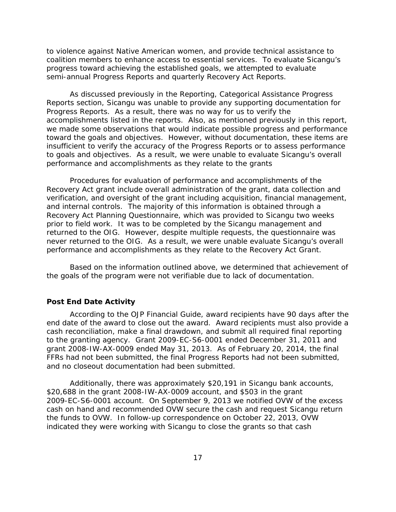coalition members to enhance access to essential services. To evaluate Sicangu's to violence against Native American women, and provide technical assistance to progress toward achieving the established goals, we attempted to evaluate semi-annual Progress Reports and quarterly Recovery Act Reports.

 As discussed previously in the Reporting, Categorical Assistance Progress to goals and objectives. As a result, we were unable to evaluate Sicangu's overall Reports section, Sicangu was unable to provide any supporting documentation for Progress Reports. As a result, there was no way for us to verify the accomplishments listed in the reports. Also, as mentioned previously in this report, we made some observations that would indicate possible progress and performance toward the goals and objectives. However, without documentation, these items are insufficient to verify the accuracy of the Progress Reports or to assess performance performance and accomplishments as they relate to the grants

 Procedures for evaluation of performance and accomplishments of the Recovery Act grant include overall administration of the grant, data collection and prior to field work. It was to be completed by the Sicangu management and never returned to the OIG. As a result, we were unable evaluate Sicangu's overall performance and accomplishments as they relate to the Recovery Act Grant. verification, and oversight of the grant including acquisition, financial management, and internal controls. The majority of this information is obtained through a Recovery Act Planning Questionnaire, which was provided to Sicangu two weeks returned to the OIG. However, despite multiple requests, the questionnaire was

Based on the information outlined above, we determined that achievement of the goals of the program were not verifiable due to lack of documentation.

#### <span id="page-20-0"></span>**Post End Date Activity**

 to the granting agency. Grant 2009-EC-S6-0001 ended December 31, 2011 and According to the *OJP Financial Guide*, award recipients have 90 days after the end date of the award to close out the award. Award recipients must also provide a cash reconciliation, make a final drawdown, and submit all required final reporting grant 2008-IW-AX-0009 ended May 31, 2013. As of February 20, 2014, the final FFRs had not been submitted, the final Progress Reports had not been submitted, and no closeout documentation had been submitted.

 \$20,688 in the grant 2008-IW-AX-0009 account, and \$503 in the grant 2009-EC-S6-0001 account. On September 9, 2013 we notified OVW of the excess Additionally, there was approximately \$20,191 in Sicangu bank accounts, cash on hand and recommended OVW secure the cash and request Sicangu return the funds to OVW. In follow-up correspondence on October 22, 2013, OVW indicated they were working with Sicangu to close the grants so that cash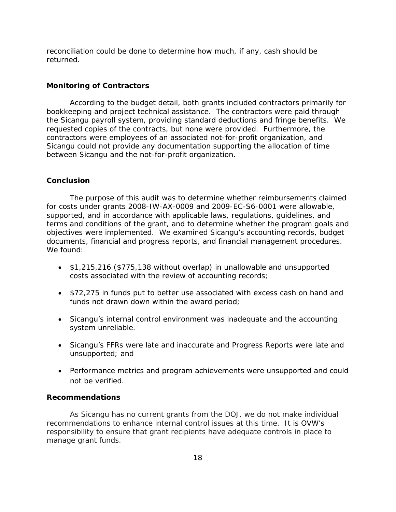reconciliation could be done to determine how much, if any, cash should be returned.

#### <span id="page-21-0"></span>**Monitoring of Contractors**

 bookkeeping and project technical assistance. The contractors were paid through the Sicangu payroll system, providing standard deductions and fringe benefits. We According to the budget detail, both grants included contractors primarily for requested copies of the contracts, but none were provided. Furthermore, the contractors were employees of an associated not-for-profit organization, and Sicangu could not provide any documentation supporting the allocation of time between Sicangu and the not-for-profit organization.

#### <span id="page-21-1"></span>**Conclusion**

 terms and conditions of the grant, and to determine whether the program goals and documents, financial and progress reports, and financial management procedures.<br>We found: We found: The purpose of this audit was to determine whether reimbursements claimed for costs under grants 2008-IW-AX-0009 and 2009-EC-S6-0001 were allowable, supported, and in accordance with applicable laws, regulations, guidelines, and objectives were implemented. We examined Sicangu's accounting records, budget

- •\$1,215,216 (\$775,138 without overlap) in unallowable and unsupported costs associated with the review of accounting records;
- •\$72,275 in funds put to better use associated with excess cash on hand and funds not drawn down within the award period;
- •Sicangu's internal control environment was inadequate and the accounting system unreliable.
- unsupported; and •Sicangu's FFRs were late and inaccurate and Progress Reports were late and
- •Performance metrics and program achievements were unsupported and could not be verified.

#### <span id="page-21-2"></span>**Recommendations**

 As Sicangu has no current grants from the DOJ, we do not make individual recommendations to enhance internal control issues at this time. It is OVW's responsibility to ensure that grant recipients have adequate controls in place to manage grant funds.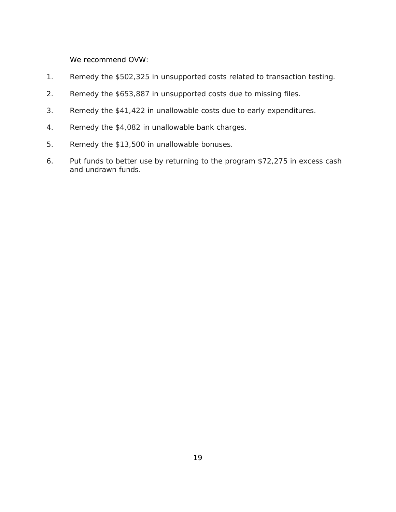We recommend OVW:

- . Remedy the \$502,325 in unsupported costs related to transaction testing.  $1<sub>1</sub>$
- 2 . Remedy the \$653,887 in unsupported costs due to missing files.
- 3 . Remedy the \$41,422 in unallowable costs due to early expenditures.
- 4 . Remedy the \$4,082 in unallowable bank charges.
- 5 . Remedy the \$13,500 in unallowable bonuses.
- 6 Put funds to better use by returning to the program \$72,275 in excess cash and undrawn funds.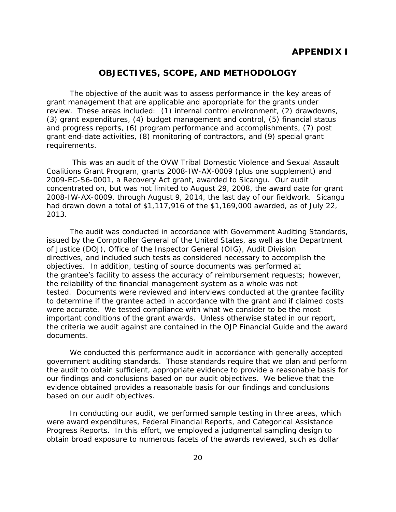#### **APPENDIX I**

#### **OBJECTIVES, SCOPE, AND METHODOLOGY**

<span id="page-23-0"></span> The objective of the audit was to assess performance in the key areas of review. These areas included: (1) internal control environment, (2) drawdowns, grant management that are applicable and appropriate for the grants under (3) grant expenditures, (4) budget management and control, (5) financial status and progress reports, (6) program performance and accomplishments, (7) post grant end-date activities, (8) monitoring of contractors, and (9) special grant requirements.

 2008-IW-AX-0009, through August 9, 2014, the last day of our fieldwork. Sicangu This was an audit of the OVW Tribal Domestic Violence and Sexual Assault Coalitions Grant Program, grants 2008-IW-AX-0009 (plus one supplement) and 2009-EC-S6-0001, a Recovery Act grant, awarded to Sicangu. Our audit concentrated on, but was not limited to August 29, 2008, the award date for grant had drawn down a total of \$1,117,916 of the \$1,169,000 awarded, as of July 22, 2013.

 objectives. In addition, testing of source documents was performed at the grantee's facility to assess the accuracy of reimbursement requests; however, tested. Documents were reviewed and interviews conducted at the grantee facility were accurate. We tested compliance with what we consider to be the most The audit was conducted in accordance with Government Auditing Standards, issued by the Comptroller General of the United States, as well as the Department of Justice (DOJ), Office of the Inspector General (OIG), Audit Division directives, and included such tests as considered necessary to accomplish the the reliability of the financial management system as a whole was not to determine if the grantee acted in accordance with the grant and if claimed costs important conditions of the grant awards. Unless otherwise stated in our report, the criteria we audit against are contained in the *OJP Financial Guide* and the award documents.

 our findings and conclusions based on our audit objectives. We believe that the We conducted this performance audit in accordance with generally accepted government auditing standards. Those standards require that we plan and perform the audit to obtain sufficient, appropriate evidence to provide a reasonable basis for evidence obtained provides a reasonable basis for our findings and conclusions based on our audit objectives.

In conducting our audit, we performed sample testing in three areas, which were award expenditures, Federal Financial Reports, and Categorical Assistance Progress Reports. In this effort, we employed a judgmental sampling design to obtain broad exposure to numerous facets of the awards reviewed, such as dollar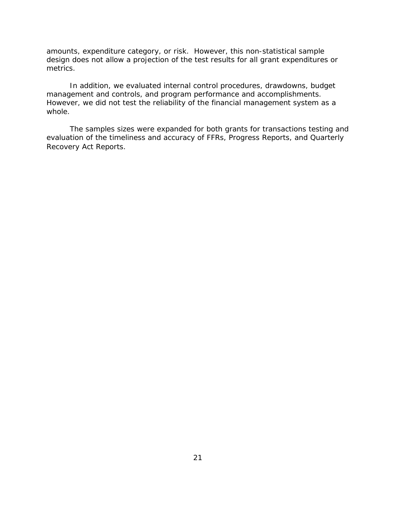amounts, expenditure category, or risk. However, this non-statistical sample design does not allow a projection of the test results for all grant expenditures or metrics.

management and controls, and program performance and accomplishments. In addition, we evaluated internal control procedures, drawdowns, budget However, we did not test the reliability of the financial management system as a whole.

The samples sizes were expanded for both grants for transactions testing and evaluation of the timeliness and accuracy of FFRs, Progress Reports, and Quarterly Recovery Act Reports.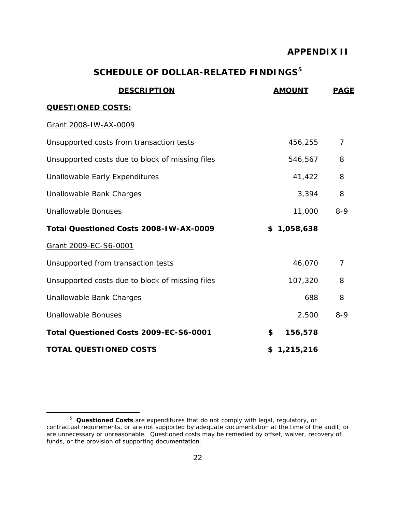#### **APPENDIX II**

### **SCHEDULE OF DOLLAR-RELATED FINDINGS[5](#page-25-1)**

<span id="page-25-0"></span>

| <b>DESCRIPTION</b>                              | <b>AMOUNT</b> | <b>PAGE</b>    |
|-------------------------------------------------|---------------|----------------|
| <b>QUESTIONED COSTS:</b>                        |               |                |
| Grant 2008-IW-AX-0009                           |               |                |
| Unsupported costs from transaction tests        | 456,255       | $\overline{7}$ |
| Unsupported costs due to block of missing files | 546,567       | 8              |
| Unallowable Early Expenditures                  | 41,422        | 8              |
| Unallowable Bank Charges                        | 3,394         | 8              |
| <b>Unallowable Bonuses</b>                      | 11,000        | $8 - 9$        |
| Total Questioned Costs 2008-IW-AX-0009          | \$1,058,638   |                |
| Grant 2009-EC-S6-0001                           |               |                |
| Unsupported from transaction tests              | 46,070        | 7              |
| Unsupported costs due to block of missing files | 107,320       | 8              |
| Unallowable Bank Charges                        | 688           | 8              |
| <b>Unallowable Bonuses</b>                      | 2,500         | $8 - 9$        |
| Total Questioned Costs 2009-EC-S6-0001          | 156,578<br>\$ |                |
| <b>TOTAL QUESTIONED COSTS</b>                   | \$1,215,216   |                |

l

<span id="page-25-1"></span><sup>5</sup>*Questioned Costs* are expenditures that do not comply with legal, regulatory, or contractual requirements, or are not supported by adequate documentation at the time of the audit, or are unnecessary or unreasonable. Questioned costs may be remedied by offset, waiver, recovery of funds, or the provision of supporting documentation.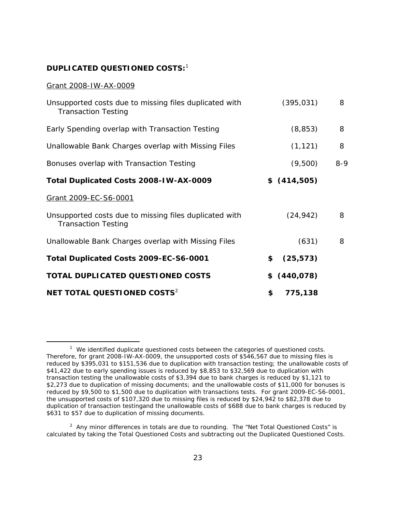#### **DUPLICATED QUESTIONED COSTS:** [1](#page-26-0)

#### Grant 2008-IW-AX-0009

| Unsupported costs due to missing files duplicated with<br><b>Transaction Testing</b> | (395, 031)      | 8       |
|--------------------------------------------------------------------------------------|-----------------|---------|
| Early Spending overlap with Transaction Testing                                      | (8, 853)        | 8       |
| Unallowable Bank Charges overlap with Missing Files                                  | (1, 121)        | 8       |
| Bonuses overlap with Transaction Testing                                             | (9,500)         | $8 - 9$ |
| Total Duplicated Costs 2008-IW-AX-0009                                               | \$ (414,505)    |         |
| Grant 2009-EC-S6-0001                                                                |                 |         |
| Unsupported costs due to missing files duplicated with<br><b>Transaction Testing</b> | (24, 942)       | 8       |
| Unallowable Bank Charges overlap with Missing Files                                  | (631)           | 8       |
| Total Duplicated Costs 2009-EC-S6-0001                                               | \$<br>(25, 573) |         |
| TOTAL DUPLICATED QUESTIONED COSTS                                                    | \$ (440,078)    |         |
| NET TOTAL QUESTIONED COSTS <sup>2</sup>                                              | 775,138<br>\$   |         |

<span id="page-26-0"></span> $\overline{a}$  transaction testing the unallowable costs of \$3,394 due to bank charges is reduced by \$1,121 to  $1$  We identified duplicate questioned costs between the categories of questioned costs. Therefore, for grant 2008-IW-AX-0009, the unsupported costs of \$546,567 due to missing files is reduced by \$395,031 to \$151,536 due to duplication with transaction testing; the unallowable costs of \$41,422 due to early spending issues is reduced by \$8,853 to \$32,569 due to duplication with \$2,273 due to duplication of missing documents; and the unallowable costs of \$11,000 for bonuses is reduced by \$9,500 to \$1,500 due to duplication with transactions tests. For grant 2009-EC-S6-0001, the unsupported costs of \$107,320 due to missing files is reduced by \$24,942 to \$82,378 due to duplication of transaction testingand the unallowable costs of \$688 due to bank charges is reduced by \$631 to \$57 due to duplication of missing documents.

<span id="page-26-1"></span> $^2$  Any minor differences in totals are due to rounding. The "Net Total Questioned Costs" is calculated by taking the Total Questioned Costs and subtracting out the Duplicated Questioned Costs.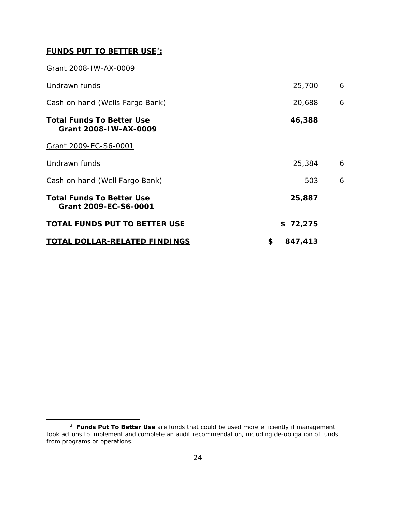#### **FUNDS PUT TO BETTER USE**[3](#page-27-0) **:**

#### Grant 2008-IW-AX-0009

 $\overline{a}$ 

| Undrawn funds                                             | 25,700        | 6 |
|-----------------------------------------------------------|---------------|---|
| Cash on hand (Wells Fargo Bank)                           | 20,688        | 6 |
| <b>Total Funds To Better Use</b><br>Grant 2008-IW-AX-0009 | 46,388        |   |
| Grant 2009-EC-S6-0001                                     |               |   |
| Undrawn funds                                             | 25,384        | 6 |
| Cash on hand (Well Fargo Bank)                            | 503           | 6 |
| <b>Total Funds To Better Use</b><br>Grant 2009-EC-S6-0001 | 25,887        |   |
| <b>TOTAL FUNDS PUT TO BETTER USE</b>                      | \$72,275      |   |
| <b>TOTAL DOLLAR-RELATED FINDINGS</b>                      | \$<br>847,413 |   |

<span id="page-27-0"></span><sup>3</sup>**Funds Put To Better Use** are funds that could be used more efficiently if management took actions to implement and complete an audit recommendation, including de-obligation of funds from programs or operations.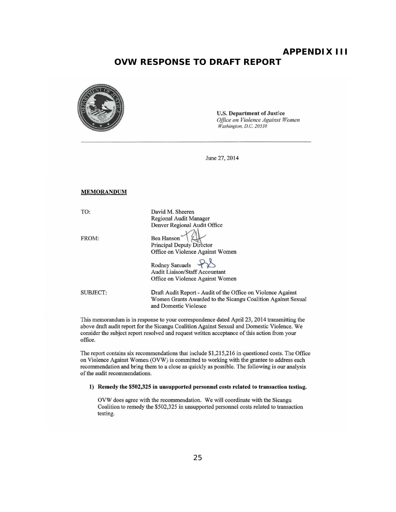#### **APPENDIX III OVW RESPONSE TO DRAFT REPORT**

<span id="page-28-0"></span>

This memorandum is in response to your correspondence dated April 23, 2014 transmitting the above draft audit report for the Sicangu Coalition Against Sexual and Domestic Violence. We consider the subject report resolved and request written acceptance of this action from your office.

The report contains six recommendations that include  $$1,215,216$  in questioned costs. The Office on Violence Against Women (OVW) is committed to working with the grantee to address each recommendation and bring them to a close as quickly as possible. The following is our analysis of the audit recommendations.

#### 1) Remedy the \$502,325 in unsupported personnel costs related to transaction testing.

OVW does agree with the recommendation. We We will coordinate with the Sicangu Coalition to remedy the \$502,325 in unsupported personnel costs related to transaction testing.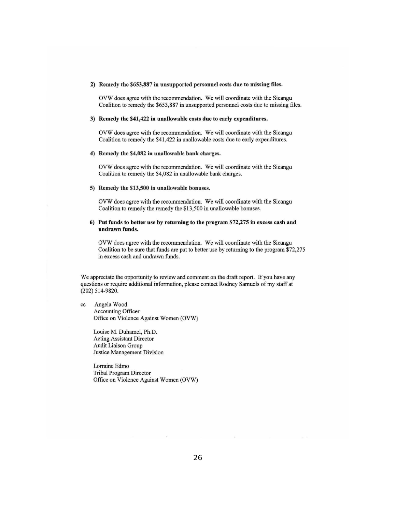#### 2) Remedy the \$653,887 in unsupported personnel costs due to missing files.

OVW does agree with the recommendation. We will coordinate with the Sicangu Coalition to remedy the \$653,887 in unsupported personnel costs due to missing files.

#### 3) Remedy the \$41,422 in unallowable costs due to early expenditures.

OVW does agree with the recommendation. We will coordinate with the Sicangu Coalition to remedy the \$41,422 in unallowable costs due to early expenditures.

#### 4) Remedy the \$4,082 in unallowable bank charges.

OVW does agree with the recommendation. We will coordinate with the Sicangu Coalition to remedy the \$4,082 in unallowable bank charges.

#### 5) Remedy the \$13,500 in unallowable bonuses.

OVW does agree with the recommendation. We will coordinate with the Sicangu Coalition to remedy the remedy the \$13,500 in unallowable bonuses.

#### 6) Put funds to better use by returning to the program  $$72,275$  in excess cash and undrawn funds.

OVW does agree with the recommendation. We will coordinate with the Sicangu Coalition to be sure that funds are put to better use by returning to the program \$72,275 in excess cash and undrawn funds.

We appreciate the opportunity to review and comment on the draft report. If you have any questions or require additional information, please contact Rodney Samuels of my staff at (202) 514-9820.

#### cc Angela Wood Accounting Officer Office on Violence Against Women (OVW)

Louise M. Duhamel, Ph.D. Acting Assistant Director Audit Liaison Group **Justice Management Division** 

Lorraine Edmo Tribal Program Director Office on Violence Against Women (OVW)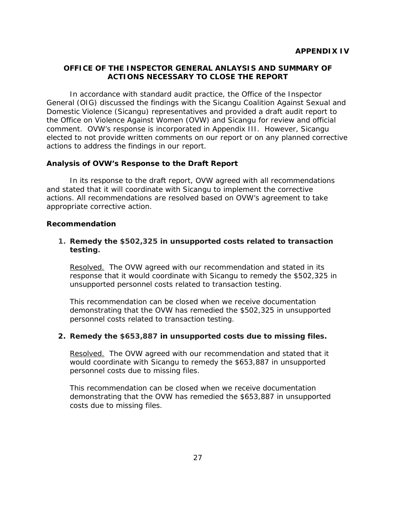#### <span id="page-30-1"></span><span id="page-30-0"></span> **ACTIONS NECESSARY TO CLOSE THE REPORTOFFICE OF THE INSPECTOR GENERAL ANLAYSIS AND SUMMARY OF**

 comment. OVW's response is incorporated in Appendix III. However, Sicangu elected to not provide written comments on our report or on any planned corrective In accordance with standard audit practice, the Office of the Inspector General (OIG) discussed the findings with the Sicangu Coalition Against Sexual and Domestic Violence (Sicangu) representatives and provided a draft audit report to the Office on Violence Against Women (OVW) and Sicangu for review and official actions to address the findings in our report.

#### **Analysis of OVW's Response to the Draft Report**

In its response to the draft report, OVW agreed with all recommendations and stated that it will coordinate with Sicangu to implement the corrective actions. All recommendations are resolved based on OVW's agreement to take appropriate corrective action.

#### **Recommendation**

#### **1.Remedy the \$502,325 in unsupported costs related to transaction testing.**

Resolved. The OVW agreed with our recommendation and stated in its response that it would coordinate with Sicangu to remedy the \$502,325 in unsupported personnel costs related to transaction testing.

This recommendation can be closed when we receive documentation demonstrating that the OVW has remedied the \$502,325 in unsupported personnel costs related to transaction testing.

#### **2. Remedy the \$653,887 in unsupported costs due to missing files.**

Resolved. The OVW agreed with our recommendation and stated that it personnel costs due to missing files. would coordinate with Sicangu to remedy the \$653,887 in unsupported

costs due to missing files. This recommendation can be closed when we receive documentation demonstrating that the OVW has remedied the \$653,887 in unsupported costs due to missing files.<br>27